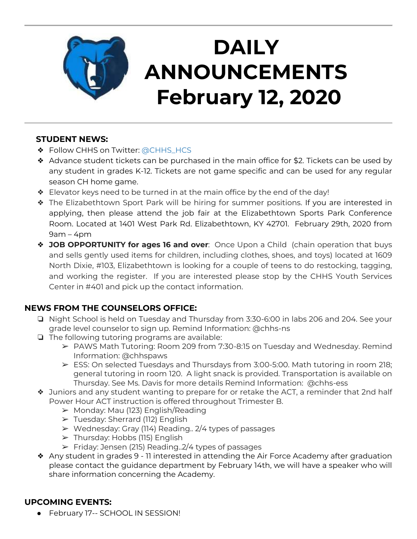

# **DAILY ANNOUNCEMENTS February 12, 2020**

#### **STUDENT NEWS:**

- ❖ Follow CHHS on Twitter: [@CHHS\\_HCS](https://twitter.com/CHHS_HCS)
- ❖ Advance student tickets can be purchased in the main office for \$2. Tickets can be used by any student in grades K-12. Tickets are not game specific and can be used for any regular season CH home game.
- ❖ Elevator keys need to be turned in at the main office by the end of the day!
- ❖ The Elizabethtown Sport Park will be hiring for summer positions. If you are interested in applying, then please attend the job fair at the Elizabethtown Sports Park Conference Room. Located at 1401 West Park Rd. Elizabethtown, KY 42701. February 29th, 2020 from 9am – 4pm
- ❖ **JOB OPPORTUNITY for ages 16 and over**: Once Upon a Child (chain operation that buys and sells gently used items for children, including clothes, shoes, and toys) located at 1609 North Dixie, #103, Elizabethtown is looking for a couple of teens to do restocking, tagging, and working the register. If you are interested please stop by the CHHS Youth Services Center in #401 and pick up the contact information.

## **NEWS FROM THE COUNSELORS OFFICE:**

- ❏ Night School is held on Tuesday and Thursday from 3:30-6:00 in labs 206 and 204. See your grade level counselor to sign up. Remind Information: @chhs-ns
- ❏ The following tutoring programs are available:
	- ➢ PAWS Math Tutoring: Room 209 from 7:30-8:15 on Tuesday and Wednesday. Remind Information: @chhspaws
	- ➢ ESS: On selected Tuesdays and Thursdays from 3:00-5:00. Math tutoring in room 218; general tutoring in room 120. A light snack is provided. Transportation is available on Thursday. See Ms. Davis for more details Remind Information: @chhs-ess
- ❖ Juniors and any student wanting to prepare for or retake the ACT, a reminder that 2nd half Power Hour ACT instruction is offered throughout Trimester B.
	- ➢ Monday: Mau (123) English/Reading
	- ➢ Tuesday: Sherrard (112) English
	- ➢ Wednesday: Gray (114) Reading.. 2/4 types of passages
	- ➢ Thursday: Hobbs (115) English
	- $\triangleright$  Friday: Jensen (215) Reading..2/4 types of passages
- ❖ Any student in grades 9 11 interested in attending the Air Force Academy after graduation please contact the guidance department by February 14th, we will have a speaker who will share information concerning the Academy.

## **UPCOMING EVENTS:**

● February 17-- SCHOOL IN SESSION!